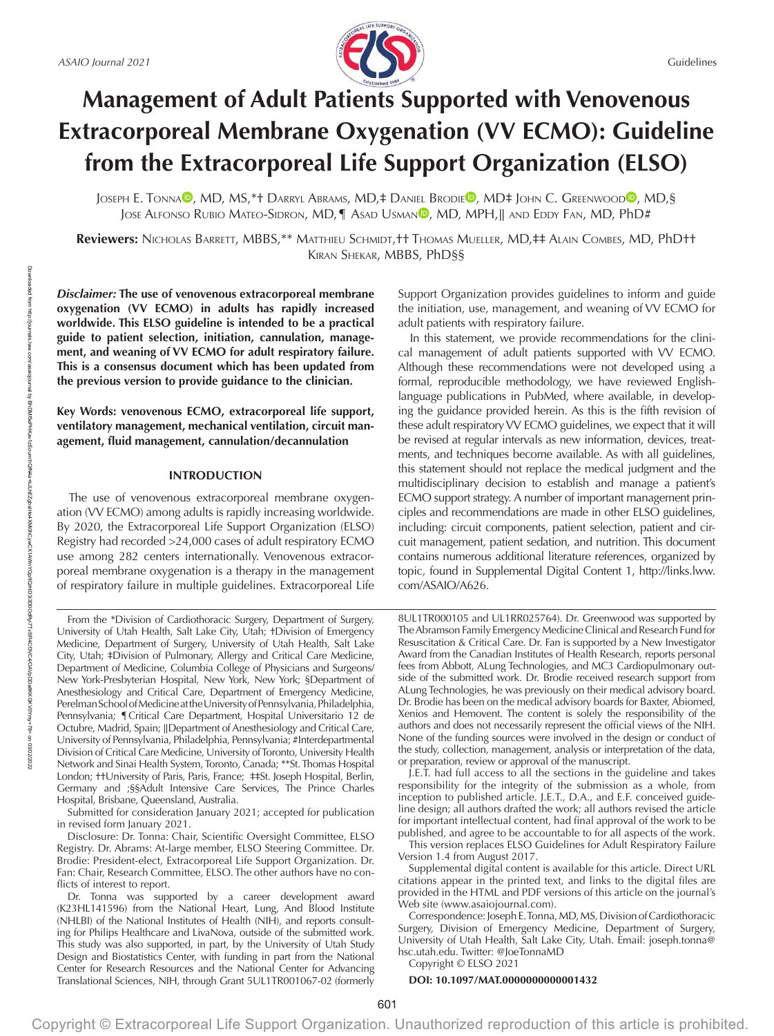

# **Management of Adult Patients Supported with Venovenous Extracorporeal Membrane Oxygenation (VV ECMO): Guideline from the Extracorporeal Life Support Organization (ELSO)**

JOSEPH E. TONN[A](https://orcid.org/0000-0001-8879-2628)<sup>®</sup>, M[D](https://orcid.org/0000-0003-2337-557X), MS,\*† Darryl Abrams, MD,‡ Daniel Brodie®, MD‡ John C. Greenwood®, MD,§ JOSE ALFONSO RUBIO MATEO-SIDRON[,](https://orcid.org/0000-0002-3874-9741) MD,¶ ASAD USMAN<sup>D</sup>, MD, MPH,∥ AND EDDY FAN, MD, PhD#

**Reviewers:** NICHOLAS BARRETT, MBBS,\*\* MATTHIEU SCHMIDT,†† THOMAS MUELLER, MD,‡‡ ALAIN COMBES, MD, PhD†† KIRAN SHEKAR, MBBS, PhD§§

*Disclaimer:* **The use of venovenous extracorporeal membrane oxygenation (VV ECMO) in adults has rapidly increased worldwide. This ELSO guideline is intended to be a practical guide to patient selection, initiation, cannulation, management, and weaning of VV ECMO for adult respiratory failure. This is a consensus document which has been updated from the previous version to provide guidance to the clinician.**

**Key Words: venovenous ECMO, extracorporeal life support, ventilatory management, mechanical ventilation, circuit management, fluid management, cannulation/decannulation**

#### **INTRODUCTION**

The use of venovenous extracorporeal membrane oxygenation (VV ECMO) among adults is rapidly increasing worldwide. By 2020, the Extracorporeal Life Support Organization (ELSO) Registry had recorded >24,000 cases of adult respiratory ECMO use among 282 centers internationally. Venovenous extracorporeal membrane oxygenation is a therapy in the management of respiratory failure in multiple guidelines. Extracorporeal Life

Submitted for consideration January 2021; accepted for publication in revised form January 2021.

Disclosure: Dr. Tonna: Chair, Scientific Oversight Committee, ELSO Registry. Dr. Abrams: At-large member, ELSO Steering Committee. Dr. Brodie: President-elect, Extracorporeal Life Support Organization. Dr. Fan: Chair, Research Committee, ELSO. The other authors have no conflicts of interest to report.

Support Organization provides guidelines to inform and guide the initiation, use, management, and weaning of VV ECMO for adult patients with respiratory failure.

In this statement, we provide recommendations for the clinical management of adult patients supported with VV ECMO. Although these recommendations were not developed using a formal, reproducible methodology, we have reviewed Englishlanguage publications in PubMed, where available, in developing the guidance provided herein. As this is the fifth revision of these adult respiratory VV ECMO guidelines, we expect that it will be revised at regular intervals as new information, devices, treatments, and techniques become available. As with all guidelines, this statement should not replace the medical judgment and the multidisciplinary decision to establish and manage a patient's ECMO support strategy. A number of important management principles and recommendations are made in other ELSO guidelines, including: circuit components, patient selection, patient and circuit management, patient sedation, and nutrition. This document contains numerous additional literature references, organized by topic, found in Supplemental Digital Content 1, [http://links.lww.](http://links.lww.com/ASAIO/A626) [com/ASAIO/A626](http://links.lww.com/ASAIO/A626).

8UL1TR000105 and UL1RR025764). Dr. Greenwood was supported by The Abramson Family Emergency Medicine Clinical and Research Fund for Resuscitation & Critical Care. Dr. Fan is supported by a New Investigator Award from the Canadian Institutes of Health Research, reports personal fees from Abbott, ALung Technologies, and MC3 Cardiopulmonary outside of the submitted work. Dr. Brodie received research support from ALung Technologies, he was previously on their medical advisory board. Dr. Brodie has been on the medical advisory boards for Baxter, Abiomed, Xenios and Hemovent. The content is solely the responsibility of the authors and does not necessarily represent the official views of the NIH. None of the funding sources were involved in the design or conduct of the study, collection, management, analysis or interpretation of the data, or preparation, review or approval of the manuscript.

J.E.T. had full access to all the sections in the guideline and takes responsibility for the integrity of the submission as a whole, from inception to published article. J.E.T., D.A., and E.F. conceived guideline design; all authors drafted the work; all authors revised the article for important intellectual content, had final approval of the work to be published, and agree to be accountable to for all aspects of the work.

This version replaces ELSO Guidelines for Adult Respiratory Failure Version 1.4 from August 2017.

Supplemental digital content is available for this article. Direct URL citations appear in the printed text, and links to the digital files are provided in the HTML and PDF versions of this article on the journal's Web site (<www.asaiojournal.com>).

Correspondence: Joseph E. Tonna, MD, MS, Division of Cardiothoracic Surgery, Division of Emergency Medicine, Department of Surgery, University of Utah Health, Salt Lake City, Utah[. Email: joseph.tonna@](mailto:Email:joseph.tonna@hsc.utah.edu) [hsc.utah.edu.](mailto:Email:joseph.tonna@hsc.utah.edu) [Twitter: @JoeTonnaMD](https://twitter.com/@JoeTonnaMD)

Copyright © ELSO 2021

## **DOI: 10.1097/MAT.0000000000001432**

From the \*Division of Cardiothoracic Surgery, Department of Surgery, University of Utah Health, Salt Lake City, Utah; †Division of Emergency Medicine, Department of Surgery, University of Utah Health, Salt Lake City, Utah; ‡Division of Pulmonary, Allergy and Critical Care Medicine, Department of Medicine, Columbia College of Physicians and Surgeons/ New York-Presbyterian Hospital, New York, New York; §Department of Anesthesiology and Critical Care, Department of Emergency Medicine, Perelman School of Medicine at the University of Pennsylvania, Philadelphia, Pennsylvania; ¶Critical Care Department, Hospital Universitario 12 de Octubre, Madrid, Spain; ∥Department of Anesthesiology and Critical Care, University of Pennsylvania, Philadelphia, Pennsylvania; #Interdepartmental Division of Critical Care Medicine, University of Toronto, University Health Network and Sinai Health System, Toronto, Canada; \*\*St. Thomas Hospital London; ††University of Paris, Paris, France; ‡‡St. Joseph Hospital, Berlin, Germany and ;§§Adult Intensive Care Services, The Prince Charles Hospital, Brisbane, Queensland, Australia.

Dr. Tonna was supported by a career development award (K23HL141596) from the National Heart, Lung, And Blood Institute (NHLBI) of the National Institutes of Health (NIH), and reports consulting for Philips Healthcare and LivaNova, outside of the submitted work. This study was also supported, in part, by the University of Utah Study Design and Biostatistics Center, with funding in part from the National Center for Research Resources and the National Center for Advancing Translational Sciences, NIH, through Grant 5UL1TR001067-02 (formerly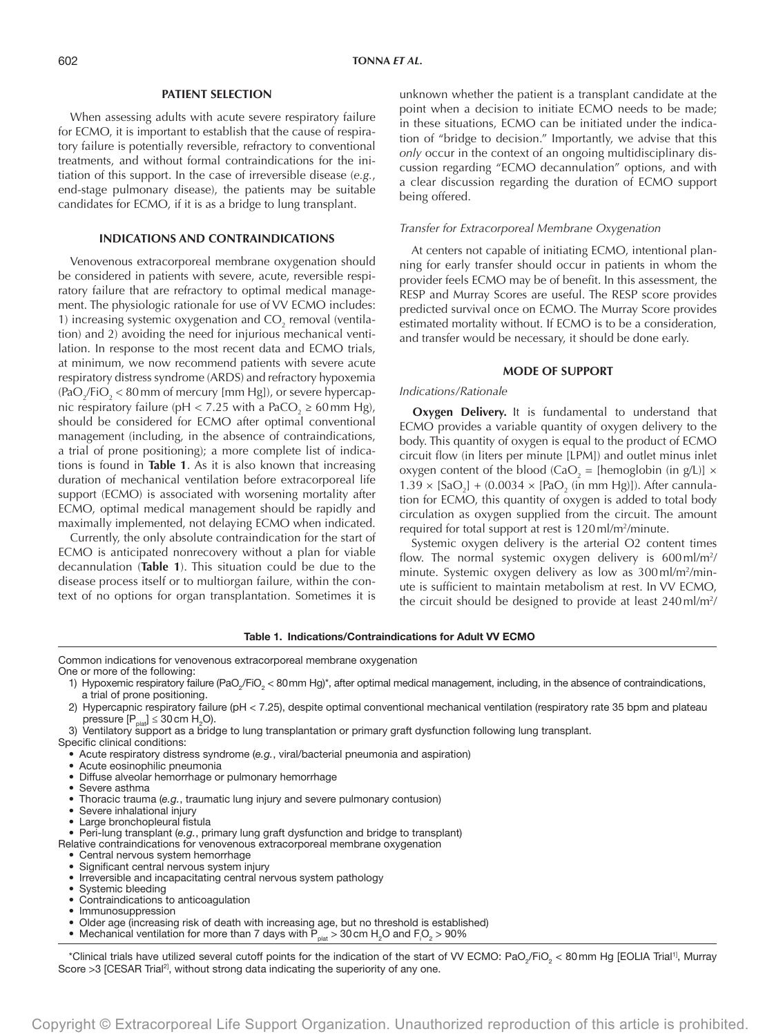## **PATIENT SELECTION**

When assessing adults with acute severe respiratory failure for ECMO, it is important to establish that the cause of respiratory failure is potentially reversible, refractory to conventional treatments, and without formal contraindications for the initiation of this support. In the case of irreversible disease (*e.g.*, end-stage pulmonary disease), the patients may be suitable candidates for ECMO, if it is as a bridge to lung transplant.

## **INDICATIONS AND CONTRAINDICATIONS**

Venovenous extracorporeal membrane oxygenation should be considered in patients with severe, acute, reversible respiratory failure that are refractory to optimal medical management. The physiologic rationale for use of VV ECMO includes: 1) increasing systemic oxygenation and  $CO_2$  removal (ventilation) and 2) avoiding the need for injurious mechanical ventilation. In response to the most recent data and ECMO trials, at minimum, we now recommend patients with severe acute respiratory distress syndrome (ARDS) and refractory hypoxemia (PaO $_2$ /FiO $_2$  < 80 mm of mercury [mm Hg]), or severe hypercapnic respiratory failure (pH < 7.25 with a PaCO<sub>2</sub>  $\geq$  60 mm Hg), should be considered for ECMO after optimal conventional management (including, in the absence of contraindications, a trial of prone positioning); a more complete list of indications is found in **Table 1**. As it is also known that increasing duration of mechanical ventilation before extracorporeal life support (ECMO) is associated with worsening mortality after ECMO, optimal medical management should be rapidly and maximally implemented, not delaying ECMO when indicated.

Currently, the only absolute contraindication for the start of ECMO is anticipated nonrecovery without a plan for viable decannulation (**Table 1**). This situation could be due to the disease process itself or to multiorgan failure, within the context of no options for organ transplantation. Sometimes it is unknown whether the patient is a transplant candidate at the point when a decision to initiate ECMO needs to be made; in these situations, ECMO can be initiated under the indication of "bridge to decision." Importantly, we advise that this *only* occur in the context of an ongoing multidisciplinary discussion regarding "ECMO decannulation" options, and with a clear discussion regarding the duration of ECMO support being offered.

#### *Transfer for Extracorporeal Membrane Oxygenation*

At centers not capable of initiating ECMO, intentional planning for early transfer should occur in patients in whom the provider feels ECMO may be of benefit. In this assessment, the RESP and Murray Scores are useful. The RESP score provides predicted survival once on ECMO. The Murray Score provides estimated mortality without. If ECMO is to be a consideration, and transfer would be necessary, it should be done early.

### **MODE OF SUPPORT**

#### *Indications/Rationale*

**Oxygen Delivery.** It is fundamental to understand that ECMO provides a variable quantity of oxygen delivery to the body. This quantity of oxygen is equal to the product of ECMO circuit flow (in liters per minute [LPM]) and outlet minus inlet oxygen content of the blood (CaO<sub>2</sub> = [hemoglobin (in g/L)]  $\times$  $1.39 \times$   $[SaO<sub>2</sub>] + (0.0034 \times$   $[PaO<sub>2</sub>$  (in mm Hg)]). After cannulation for ECMO, this quantity of oxygen is added to total body circulation as oxygen supplied from the circuit. The amount required for total support at rest is 120 ml/m<sup>2</sup>/minute.

Systemic oxygen delivery is the arterial O2 content times flow. The normal systemic oxygen delivery is  $600 \,\mathrm{mJ/m^2/s}$ minute. Systemic oxygen delivery as low as 300 ml/m<sup>2</sup>/minute is sufficient to maintain metabolism at rest. In VV ECMO, the circuit should be designed to provide at least 240 ml/m<sup>2</sup>/

# Table 1. Indications/Contraindications for Adult VV ECMO

Common indications for venovenous extracorporeal membrane oxygenation One or more of the following:

- 1) Hypoxemic respiratory failure (PaO<sub>2</sub>/FiO<sub>2</sub> < 80mm Hg)\*, after optimal medical management, including, in the absence of contraindications, a trial of prone positioning.
- 2) Hypercapnic respiratory failure (pH < 7.25), despite optimal conventional mechanical ventilation (respiratory rate 35 bpm and plateau pressure  $[P_{\text{plat}}] \leq 30$  cm  $H_2O$ ).
- 3) Ventilatory support as a bridge to lung transplantation or primary graft dysfunction following lung transplant. Specific clinical conditions:
	- Acute respiratory distress syndrome (*e.g.*, viral/bacterial pneumonia and aspiration)
	- Acute eosinophilic pneumonia
	- Diffuse alveolar hemorrhage or pulmonary hemorrhage
	- Severe asthma
	- Thoracic trauma (*e.g.*, traumatic lung injury and severe pulmonary contusion)
	- Severe inhalational injury
	- Large bronchopleural fistula

• Peri-lung transplant (*e.g.*, primary lung graft dysfunction and bridge to transplant)

Relative contraindications for venovenous extracorporeal membrane oxygenation

- Central nervous system hemorrhage
- Significant central nervous system injury
- Irreversible and incapacitating central nervous system pathology
- Systemic bleeding
- Contraindications to anticoagulation
- Immunosuppression
- Older age (increasing risk of death with increasing age, but no threshold is established)
- Mechanical ventilation for more than 7 days with  $P_{\text{plat}} > 30 \text{ cm H}_{2}O$  and  $F_{1}O_{2} > 90\%$

\*Clinical trials have utilized several cutoff points for the indication of the start of VV ECMO: PaO<sub>2</sub>/FiO<sub>2</sub> < 80mm Hg [EOLIA Trial<sup>1]</sup>, Murray Score >3 [CESAR Trial<sup>2]</sup>, without strong data indicating the superiority of any one.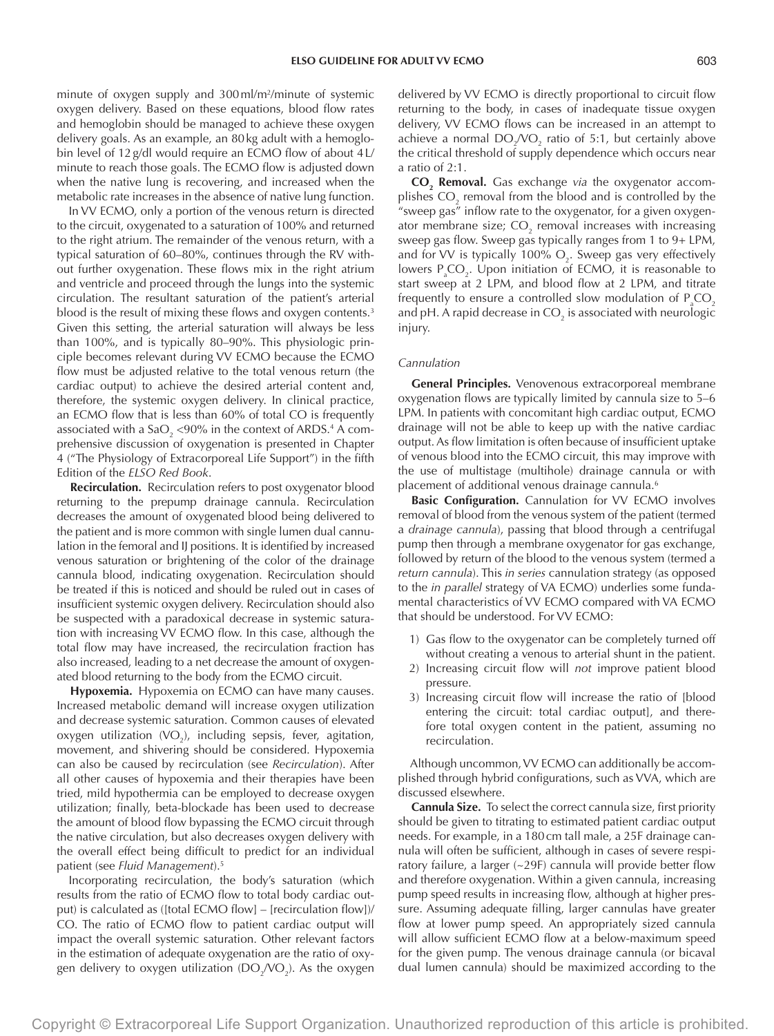minute of oxygen supply and 300ml/m2 /minute of systemic oxygen delivery. Based on these equations, blood flow rates and hemoglobin should be managed to achieve these oxygen delivery goals. As an example, an 80kg adult with a hemoglobin level of 12g/dl would require an ECMO flow of about 4L/ minute to reach those goals. The ECMO flow is adjusted down when the native lung is recovering, and increased when the metabolic rate increases in the absence of native lung function.

In VV ECMO, only a portion of the venous return is directed to the circuit, oxygenated to a saturation of 100% and returned to the right atrium. The remainder of the venous return, with a typical saturation of 60–80%, continues through the RV without further oxygenation. These flows mix in the right atrium and ventricle and proceed through the lungs into the systemic circulation. The resultant saturation of the patient's arterial blood is the result of mixing these flows and oxygen contents.<sup>3</sup> Given this setting, the arterial saturation will always be less than 100%, and is typically 80–90%. This physiologic principle becomes relevant during VV ECMO because the ECMO flow must be adjusted relative to the total venous return (the cardiac output) to achieve the desired arterial content and, therefore, the systemic oxygen delivery. In clinical practice, an ECMO flow that is less than 60% of total CO is frequently associated with a SaO<sub>2</sub> <90% in the context of ARDS.<sup>4</sup> A comprehensive discussion of oxygenation is presented in Chapter 4 ("The Physiology of Extracorporeal Life Support") in the fifth Edition of the *ELSO Red Book*.

**Recirculation.** Recirculation refers to post oxygenator blood returning to the prepump drainage cannula. Recirculation decreases the amount of oxygenated blood being delivered to the patient and is more common with single lumen dual cannulation in the femoral and IJ positions. It is identified by increased venous saturation or brightening of the color of the drainage cannula blood, indicating oxygenation. Recirculation should be treated if this is noticed and should be ruled out in cases of insufficient systemic oxygen delivery. Recirculation should also be suspected with a paradoxical decrease in systemic saturation with increasing VV ECMO flow. In this case, although the total flow may have increased, the recirculation fraction has also increased, leading to a net decrease the amount of oxygenated blood returning to the body from the ECMO circuit.

**Hypoxemia.** Hypoxemia on ECMO can have many causes. Increased metabolic demand will increase oxygen utilization and decrease systemic saturation. Common causes of elevated oxygen utilization  $(WO_2)$ , including sepsis, fever, agitation, movement, and shivering should be considered. Hypoxemia can also be caused by recirculation (see *Recirculation*). After all other causes of hypoxemia and their therapies have been tried, mild hypothermia can be employed to decrease oxygen utilization; finally, beta-blockade has been used to decrease the amount of blood flow bypassing the ECMO circuit through the native circulation, but also decreases oxygen delivery with the overall effect being difficult to predict for an individual patient (see *Fluid Management*).5

Incorporating recirculation, the body's saturation (which results from the ratio of ECMO flow to total body cardiac output) is calculated as ([total ECMO flow] – [recirculation flow])/ CO. The ratio of ECMO flow to patient cardiac output will impact the overall systemic saturation. Other relevant factors in the estimation of adequate oxygenation are the ratio of oxygen delivery to oxygen utilization (DO<sub>2</sub>/VO<sub>2</sub>). As the oxygen delivered by VV ECMO is directly proportional to circuit flow returning to the body, in cases of inadequate tissue oxygen delivery, VV ECMO flows can be increased in an attempt to achieve a normal  $DO_{2}/VO_{2}$  ratio of 5:1, but certainly above the critical threshold of supply dependence which occurs near a ratio of 2:1.

**CO2 Removal.** Gas exchange *via* the oxygenator accomplishes  $\mathrm{CO}_2$  removal from the blood and is controlled by the "sweep gas" inflow rate to the oxygenator, for a given oxygenator membrane size;  $CO_2$  removal increases with increasing sweep gas flow. Sweep gas typically ranges from 1 to 9+ LPM, and for VV is typically 100%  $O_2$ . Sweep gas very effectively lowers  $P_{a}CO_{2}$ . Upon initiation of ECMO, it is reasonable to start sweep at 2 LPM, and blood flow at 2 LPM, and titrate frequently to ensure a controlled slow modulation of  $\mathsf{P}_{_{\text{a}}} \mathsf{CO}_{_{\text{2}}}$ and pH. A rapid decrease in CO $_2$  is associated with neurologic injury.

#### *Cannulation*

**General Principles.** Venovenous extracorporeal membrane oxygenation flows are typically limited by cannula size to 5–6 LPM. In patients with concomitant high cardiac output, ECMO drainage will not be able to keep up with the native cardiac output. As flow limitation is often because of insufficient uptake of venous blood into the ECMO circuit, this may improve with the use of multistage (multihole) drainage cannula or with placement of additional venous drainage cannula.6

**Basic Configuration.** Cannulation for VV ECMO involves removal of blood from the venous system of the patient (termed a *drainage cannula*), passing that blood through a centrifugal pump then through a membrane oxygenator for gas exchange, followed by return of the blood to the venous system (termed a *return cannula*). This *in series* cannulation strategy (as opposed to the *in parallel* strategy of VA ECMO) underlies some fundamental characteristics of VV ECMO compared with VA ECMO that should be understood. For VV ECMO:

- 1) Gas flow to the oxygenator can be completely turned off without creating a venous to arterial shunt in the patient.
- 2) Increasing circuit flow will *not* improve patient blood pressure.
- 3) Increasing circuit flow will increase the ratio of [blood entering the circuit: total cardiac output], and therefore total oxygen content in the patient, assuming no recirculation.

Although uncommon, VV ECMO can additionally be accomplished through hybrid configurations, such as VVA, which are discussed elsewhere.

**Cannula Size.** To select the correct cannula size, first priority should be given to titrating to estimated patient cardiac output needs. For example, in a 180cm tall male, a 25F drainage cannula will often be sufficient, although in cases of severe respiratory failure, a larger (~29F) cannula will provide better flow and therefore oxygenation. Within a given cannula, increasing pump speed results in increasing flow, although at higher pressure. Assuming adequate filling, larger cannulas have greater flow at lower pump speed. An appropriately sized cannula will allow sufficient ECMO flow at a below-maximum speed for the given pump. The venous drainage cannula (or bicaval dual lumen cannula) should be maximized according to the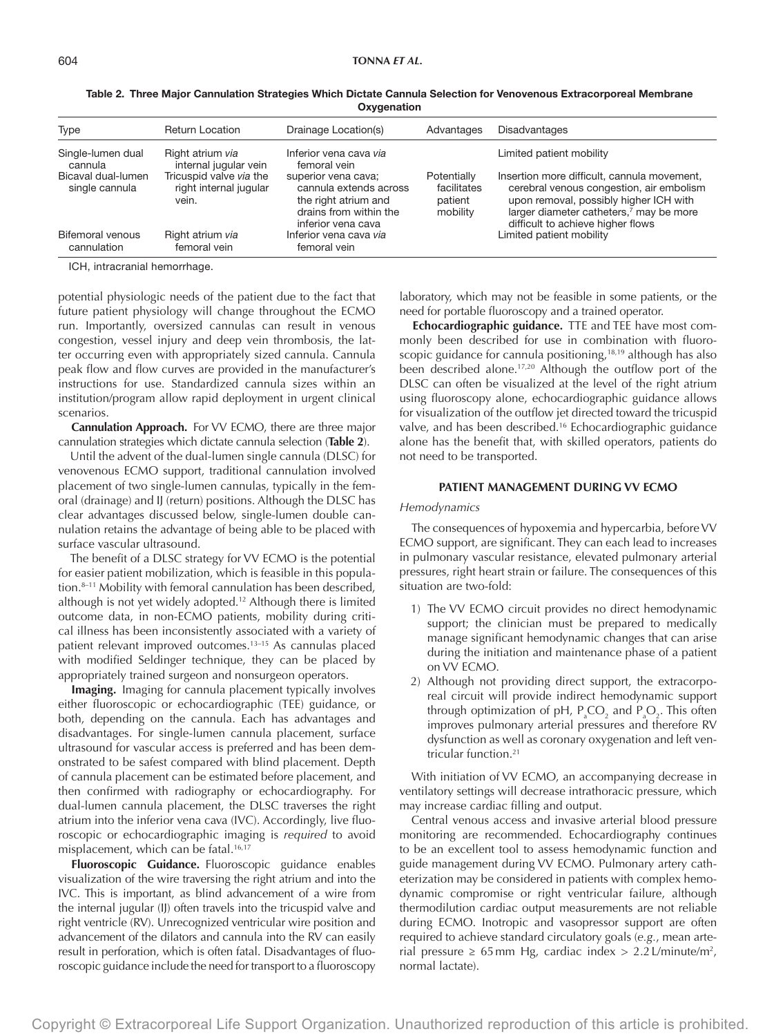| Type                                 | <b>Return Location</b>                                     | Drainage Location(s)                                                                                                  | Advantages                                        | <b>Disadvantages</b>                                                                                                                                                                                                          |
|--------------------------------------|------------------------------------------------------------|-----------------------------------------------------------------------------------------------------------------------|---------------------------------------------------|-------------------------------------------------------------------------------------------------------------------------------------------------------------------------------------------------------------------------------|
| Single-lumen dual<br>cannula         | Right atrium via<br>internal jugular vein                  | Inferior vena cava via<br>femoral vein                                                                                |                                                   | Limited patient mobility                                                                                                                                                                                                      |
| Bicaval dual-lumen<br>single cannula | Tricuspid valve via the<br>right internal jugular<br>vein. | superior vena cava;<br>cannula extends across<br>the right atrium and<br>drains from within the<br>inferior vena cava | Potentially<br>facilitates<br>patient<br>mobility | Insertion more difficult, cannula movement,<br>cerebral venous congestion, air embolism<br>upon removal, possibly higher ICH with<br>larger diameter catheters, <sup>7</sup> may be more<br>difficult to achieve higher flows |
| Bifemoral venous<br>cannulation      | Right atrium via<br>femoral vein                           | Inferior vena cava via<br>femoral vein                                                                                |                                                   | Limited patient mobility                                                                                                                                                                                                      |

Table 2. Three Major Cannulation Strategies Which Dictate Cannula Selection for Venovenous Extracorporeal Membrane **Oxygenation** 

ICH, intracranial hemorrhage.

potential physiologic needs of the patient due to the fact that future patient physiology will change throughout the ECMO run. Importantly, oversized cannulas can result in venous congestion, vessel injury and deep vein thrombosis, the latter occurring even with appropriately sized cannula. Cannula peak flow and flow curves are provided in the manufacturer's instructions for use. Standardized cannula sizes within an institution/program allow rapid deployment in urgent clinical scenarios.

**Cannulation Approach.** For VV ECMO, there are three major cannulation strategies which dictate cannula selection (**Table 2**).

Until the advent of the dual-lumen single cannula (DLSC) for venovenous ECMO support, traditional cannulation involved placement of two single-lumen cannulas, typically in the femoral (drainage) and IJ (return) positions. Although the DLSC has clear advantages discussed below, single-lumen double cannulation retains the advantage of being able to be placed with surface vascular ultrasound.

The benefit of a DLSC strategy for VV ECMO is the potential for easier patient mobilization, which is feasible in this population.<sup>8-11</sup> Mobility with femoral cannulation has been described, although is not yet widely adopted.<sup>12</sup> Although there is limited outcome data, in non-ECMO patients, mobility during critical illness has been inconsistently associated with a variety of patient relevant improved outcomes.13–15 As cannulas placed with modified Seldinger technique, they can be placed by appropriately trained surgeon and nonsurgeon operators.

**Imaging.** Imaging for cannula placement typically involves either fluoroscopic or echocardiographic (TEE) guidance, or both, depending on the cannula. Each has advantages and disadvantages. For single-lumen cannula placement, surface ultrasound for vascular access is preferred and has been demonstrated to be safest compared with blind placement. Depth of cannula placement can be estimated before placement, and then confirmed with radiography or echocardiography. For dual-lumen cannula placement, the DLSC traverses the right atrium into the inferior vena cava (IVC). Accordingly, live fluoroscopic or echocardiographic imaging is *required* to avoid misplacement, which can be fatal.<sup>16,17</sup>

**Fluoroscopic Guidance.** Fluoroscopic guidance enables visualization of the wire traversing the right atrium and into the IVC. This is important, as blind advancement of a wire from the internal jugular (IJ) often travels into the tricuspid valve and right ventricle (RV). Unrecognized ventricular wire position and advancement of the dilators and cannula into the RV can easily result in perforation, which is often fatal. Disadvantages of fluoroscopic guidance include the need for transport to a fluoroscopy laboratory, which may not be feasible in some patients, or the need for portable fluoroscopy and a trained operator.

**Echocardiographic guidance.** TTE and TEE have most commonly been described for use in combination with fluoroscopic guidance for cannula positioning,  $18,19$  although has also been described alone.<sup>17,20</sup> Although the outflow port of the DLSC can often be visualized at the level of the right atrium using fluoroscopy alone, echocardiographic guidance allows for visualization of the outflow jet directed toward the tricuspid valve, and has been described.16 Echocardiographic guidance alone has the benefit that, with skilled operators, patients do not need to be transported.

## **PATIENT MANAGEMENT DURING VV ECMO**

#### *Hemodynamics*

The consequences of hypoxemia and hypercarbia, before VV ECMO support, are significant. They can each lead to increases in pulmonary vascular resistance, elevated pulmonary arterial pressures, right heart strain or failure. The consequences of this situation are two-fold:

- 1) The VV ECMO circuit provides no direct hemodynamic support; the clinician must be prepared to medically manage significant hemodynamic changes that can arise during the initiation and maintenance phase of a patient on VV ECMO.
- 2) Although not providing direct support, the extracorporeal circuit will provide indirect hemodynamic support through optimization of pH,  $P_aCO_2$  and  $P_aO_2$ . This often improves pulmonary arterial pressures and therefore RV dysfunction as well as coronary oxygenation and left ventricular function.<sup>21</sup>

With initiation of VV ECMO, an accompanying decrease in ventilatory settings will decrease intrathoracic pressure, which may increase cardiac filling and output.

Central venous access and invasive arterial blood pressure monitoring are recommended. Echocardiography continues to be an excellent tool to assess hemodynamic function and guide management during VV ECMO. Pulmonary artery catheterization may be considered in patients with complex hemodynamic compromise or right ventricular failure, although thermodilution cardiac output measurements are not reliable during ECMO. Inotropic and vasopressor support are often required to achieve standard circulatory goals (*e.g.*, mean arterial pressure  $\geq 65$  mm Hg, cardiac index  $> 2.2$  L/minute/m<sup>2</sup>, normal lactate).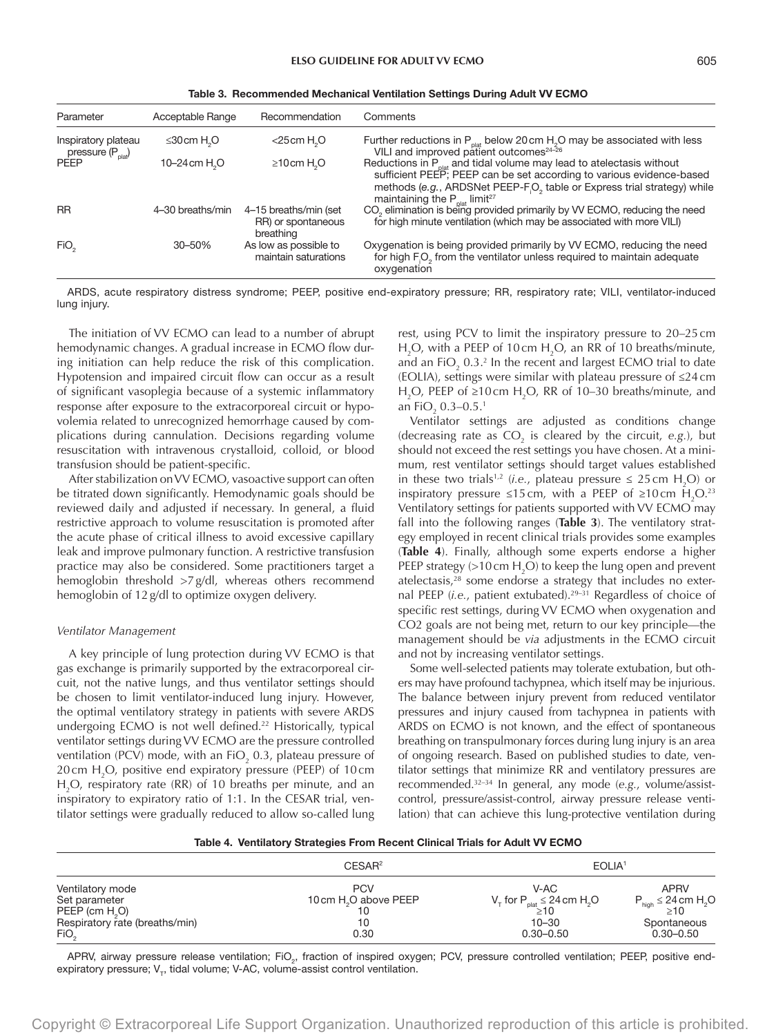| Table 3. Recommended Mechanical Ventilation Settings During Adult VV ECMO |  |  |  |
|---------------------------------------------------------------------------|--|--|--|
|                                                                           |  |  |  |

| Parameter                                           | Acceptable Range              | Recommendation                                           | Comments                                                                                                                                                                                                                           |
|-----------------------------------------------------|-------------------------------|----------------------------------------------------------|------------------------------------------------------------------------------------------------------------------------------------------------------------------------------------------------------------------------------------|
| Inspiratory plateau<br>pressure $(P_{\text{plat}})$ | $\leq 30$ cm H <sub>2</sub> O | $<$ 25cm H <sub>2</sub> O                                | Further reductions in P <sub>plat</sub> below 20 cm H <sub>2</sub> O may be associated with less VILI and improved patient outcomes <sup>24-26</sup>                                                                               |
| <b>PFFP</b>                                         | 10-24 cm H <sub>2</sub> O     | $\geq 10$ cm H <sub>2</sub> O                            | Reductions in $P_{\text{plat}}$ and tidal volume may lead to atelectasis without<br>sufficient PEEP; PEEP can be set according to various evidence-based<br>methods (e.g., ARDSNet PEEP-FO, table or Express trial strategy) while |
| <b>RR</b>                                           | 4-30 breaths/min              | 4-15 breaths/min (set<br>RR) or spontaneous<br>breathing | maintaining the $P_{\text{plat}}$ limit <sup>27</sup><br>CO <sub>2</sub> elimination is being provided primarily by VV ECMO, reducing the need<br>for high minute ventilation (which may be associated with more VILI)             |
| FiO <sub>2</sub>                                    | 30-50%                        | As low as possible to<br>maintain saturations            | Oxygenation is being provided primarily by VV ECMO, reducing the need<br>for high F <sub>i</sub> O <sub>2</sub> from the ventilator unless required to maintain adequate<br>oxygenation                                            |

ARDS, acute respiratory distress syndrome; PEEP, positive end-expiratory pressure; RR, respiratory rate; VILI, ventilator-induced lung injury.

The initiation of VV ECMO can lead to a number of abrupt hemodynamic changes. A gradual increase in ECMO flow during initiation can help reduce the risk of this complication. Hypotension and impaired circuit flow can occur as a result of significant vasoplegia because of a systemic inflammatory response after exposure to the extracorporeal circuit or hypovolemia related to unrecognized hemorrhage caused by complications during cannulation. Decisions regarding volume resuscitation with intravenous crystalloid, colloid, or blood transfusion should be patient-specific.

After stabilization on VV ECMO, vasoactive support can often be titrated down significantly. Hemodynamic goals should be reviewed daily and adjusted if necessary. In general, a fluid restrictive approach to volume resuscitation is promoted after the acute phase of critical illness to avoid excessive capillary leak and improve pulmonary function. A restrictive transfusion practice may also be considered. Some practitioners target a hemoglobin threshold >7g/dl, whereas others recommend hemoglobin of 12g/dl to optimize oxygen delivery.

#### *Ventilator Management*

A key principle of lung protection during VV ECMO is that gas exchange is primarily supported by the extracorporeal circuit, not the native lungs, and thus ventilator settings should be chosen to limit ventilator-induced lung injury. However, the optimal ventilatory strategy in patients with severe ARDS undergoing ECMO is not well defined.<sup>22</sup> Historically, typical ventilator settings during VV ECMO are the pressure controlled ventilation (PCV) mode, with an FiO<sub>2</sub> 0.3, plateau pressure of 20 cm  $H_2O$ , positive end expiratory pressure (PEEP) of 10 cm  $H_2O$ , respiratory rate (RR) of 10 breaths per minute, and an inspiratory to expiratory ratio of 1:1. In the CESAR trial, ventilator settings were gradually reduced to allow so-called lung

rest, using PCV to limit the inspiratory pressure to 20–25cm  $H_2O$ , with a PEEP of 10 cm  $H_2O$ , an RR of 10 breaths/minute, and an FiO<sub>2</sub> 0.3.<sup>2</sup> In the recent and largest ECMO trial to date (EOLIA), settings were similar with plateau pressure of ≤24cm H<sub>2</sub>O, PEEP of ≥10cm H<sub>2</sub>O, RR of 10–30 breaths/minute, and an FiO<sub>2</sub> 0.3–0.5.<sup>1</sup>

Ventilator settings are adjusted as conditions change (decreasing rate as  $CO<sub>2</sub>$  is cleared by the circuit, e.g.), but should not exceed the rest settings you have chosen. At a minimum, rest ventilator settings should target values established in these two trials<sup>1,2</sup> (*i.e.*, plateau pressure  $\leq 25$  cm H<sub>2</sub>O) or inspiratory pressure ≤15 cm, with a PEEP of ≥10 cm  $H_2O^{23}$ Ventilatory settings for patients supported with VV ECMO may fall into the following ranges (**Table 3**). The ventilatory strategy employed in recent clinical trials provides some examples (**Table 4**). Finally, although some experts endorse a higher PEEP strategy (>10 cm  $H_2O$ ) to keep the lung open and prevent atelectasis,<sup>28</sup> some endorse a strategy that includes no external PEEP (*i.e.*, patient extubated).<sup>29-31</sup> Regardless of choice of specific rest settings, during VV ECMO when oxygenation and CO2 goals are not being met, return to our key principle—the management should be *via* adjustments in the ECMO circuit and not by increasing ventilator settings.

Some well-selected patients may tolerate extubation, but others may have profound tachypnea, which itself may be injurious. The balance between injury prevent from reduced ventilator pressures and injury caused from tachypnea in patients with ARDS on ECMO is not known, and the effect of spontaneous breathing on transpulmonary forces during lung injury is an area of ongoing research. Based on published studies to date, ventilator settings that minimize RR and ventilatory pressures are recommended.32–34 In general, any mode (*e.g.*, volume/assistcontrol, pressure/assist-control, airway pressure release ventilation) that can achieve this lung-protective ventilation during

|  | Table 4. Ventilatory Strategies From Recent Clinical Trials for Adult VV ECMO |  |  |  |  |  |  |  |  |  |  |
|--|-------------------------------------------------------------------------------|--|--|--|--|--|--|--|--|--|--|
|--|-------------------------------------------------------------------------------|--|--|--|--|--|--|--|--|--|--|

|                                                                                                   | CESAR <sup>2</sup>                                            | EOLIA <sup>1</sup>                                                                                            |                                                                                    |
|---------------------------------------------------------------------------------------------------|---------------------------------------------------------------|---------------------------------------------------------------------------------------------------------------|------------------------------------------------------------------------------------|
| Ventilatory mode<br>Set parameter<br>$PEEP$ (cm $H2O$ )<br>Respiratory rate (breaths/min)<br>FiO, | <b>PCV</b><br>10 cm H <sub>2</sub> O above PEEP<br>10<br>0.30 | V-AC<br>$V_{\tau}$ for $P_{\text{plat}} \leq 24 \text{ cm H}_{2}O$<br>$\geq 10$<br>$10 - 30$<br>$0.30 - 0.50$ | <b>APRV</b><br>$P_{high} \leq 24$ cm $H_2O$<br>>10<br>Spontaneous<br>$0.30 - 0.50$ |

APRV, airway pressure release ventilation; FiO<sub>2</sub>, fraction of inspired oxygen; PCV, pressure controlled ventilation; PEEP, positive endexpiratory pressure;  $V_{\tau}$ , tidal volume; V-AC, volume-assist control ventilation.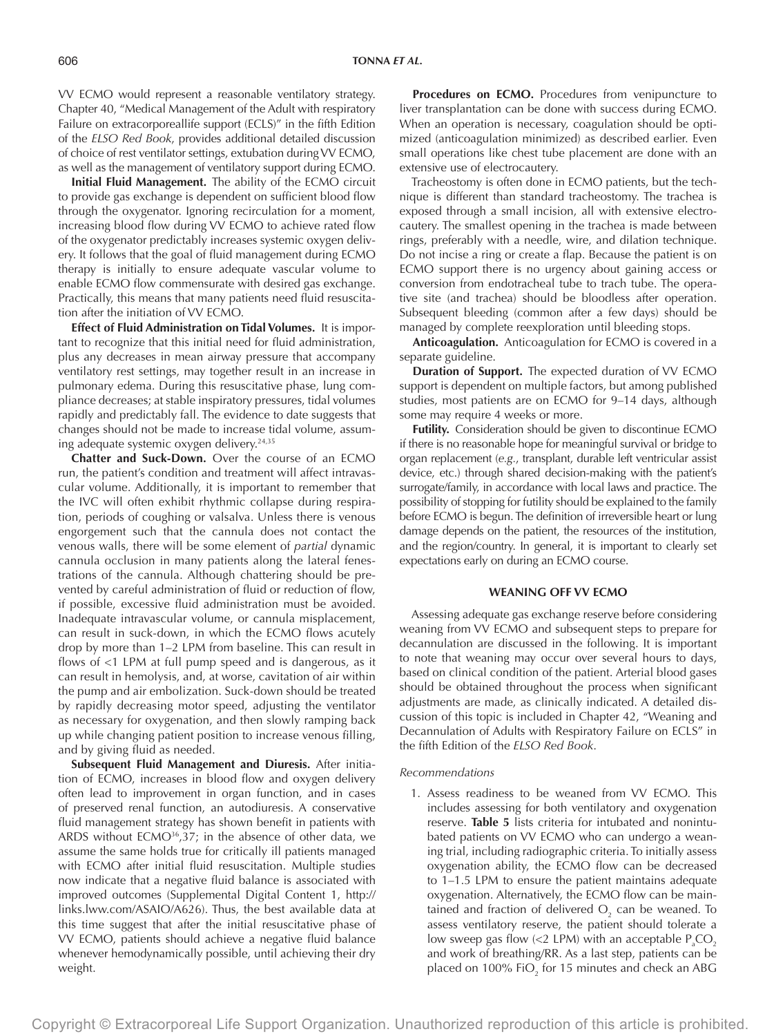VV ECMO would represent a reasonable ventilatory strategy. Chapter 40, "Medical Management of the Adult with respiratory Failure on extracorporeallife support (ECLS)" in the fifth Edition of the *ELSO Red Book*, provides additional detailed discussion of choice of rest ventilator settings, extubation during VV ECMO, as well as the management of ventilatory support during ECMO.

**Initial Fluid Management.** The ability of the ECMO circuit to provide gas exchange is dependent on sufficient blood flow through the oxygenator. Ignoring recirculation for a moment, increasing blood flow during VV ECMO to achieve rated flow of the oxygenator predictably increases systemic oxygen delivery. It follows that the goal of fluid management during ECMO therapy is initially to ensure adequate vascular volume to enable ECMO flow commensurate with desired gas exchange. Practically, this means that many patients need fluid resuscitation after the initiation of VV ECMO.

**Effect of Fluid Administration on Tidal Volumes.** It is important to recognize that this initial need for fluid administration, plus any decreases in mean airway pressure that accompany ventilatory rest settings, may together result in an increase in pulmonary edema. During this resuscitative phase, lung compliance decreases; at stable inspiratory pressures, tidal volumes rapidly and predictably fall. The evidence to date suggests that changes should not be made to increase tidal volume, assuming adequate systemic oxygen delivery.<sup>24,35</sup>

**Chatter and Suck-Down.** Over the course of an ECMO run, the patient's condition and treatment will affect intravascular volume. Additionally, it is important to remember that the IVC will often exhibit rhythmic collapse during respiration, periods of coughing or valsalva. Unless there is venous engorgement such that the cannula does not contact the venous walls, there will be some element of *partial* dynamic cannula occlusion in many patients along the lateral fenestrations of the cannula. Although chattering should be prevented by careful administration of fluid or reduction of flow, if possible, excessive fluid administration must be avoided. Inadequate intravascular volume, or cannula misplacement, can result in suck-down, in which the ECMO flows acutely drop by more than 1–2 LPM from baseline. This can result in flows of <1 LPM at full pump speed and is dangerous, as it can result in hemolysis, and, at worse, cavitation of air within the pump and air embolization. Suck-down should be treated by rapidly decreasing motor speed, adjusting the ventilator as necessary for oxygenation, and then slowly ramping back up while changing patient position to increase venous filling, and by giving fluid as needed.

**Subsequent Fluid Management and Diuresis.** After initiation of ECMO, increases in blood flow and oxygen delivery often lead to improvement in organ function, and in cases of preserved renal function, an autodiuresis. A conservative fluid management strategy has shown benefit in patients with ARDS without ECMO<sup>36</sup>,37; in the absence of other data, we assume the same holds true for critically ill patients managed with ECMO after initial fluid resuscitation. Multiple studies now indicate that a negative fluid balance is associated with improved outcomes (Supplemental Digital Content 1, [http://](http://links.lww.com/ASAIO/A626) [links.lww.com/ASAIO/A626](http://links.lww.com/ASAIO/A626)). Thus, the best available data at this time suggest that after the initial resuscitative phase of VV ECMO, patients should achieve a negative fluid balance whenever hemodynamically possible, until achieving their dry weight.

Procedures on ECMO. Procedures from venipuncture to liver transplantation can be done with success during ECMO. When an operation is necessary, coagulation should be optimized (anticoagulation minimized) as described earlier. Even small operations like chest tube placement are done with an extensive use of electrocautery.

Tracheostomy is often done in ECMO patients, but the technique is different than standard tracheostomy. The trachea is exposed through a small incision, all with extensive electrocautery. The smallest opening in the trachea is made between rings, preferably with a needle, wire, and dilation technique. Do not incise a ring or create a flap. Because the patient is on ECMO support there is no urgency about gaining access or conversion from endotracheal tube to trach tube. The operative site (and trachea) should be bloodless after operation. Subsequent bleeding (common after a few days) should be managed by complete reexploration until bleeding stops.

**Anticoagulation.** Anticoagulation for ECMO is covered in a separate guideline.

**Duration of Support.** The expected duration of VV ECMO support is dependent on multiple factors, but among published studies, most patients are on ECMO for 9–14 days, although some may require 4 weeks or more.

**Futility.** Consideration should be given to discontinue ECMO if there is no reasonable hope for meaningful survival or bridge to organ replacement (*e.g.*, transplant, durable left ventricular assist device, etc.) through shared decision-making with the patient's surrogate/family, in accordance with local laws and practice. The possibility of stopping for futility should be explained to the family before ECMO is begun. The definition of irreversible heart or lung damage depends on the patient, the resources of the institution, and the region/country. In general, it is important to clearly set expectations early on during an ECMO course.

## **WEANING OFF VV ECMO**

Assessing adequate gas exchange reserve before considering weaning from VV ECMO and subsequent steps to prepare for decannulation are discussed in the following. It is important to note that weaning may occur over several hours to days, based on clinical condition of the patient. Arterial blood gases should be obtained throughout the process when significant adjustments are made, as clinically indicated. A detailed discussion of this topic is included in Chapter 42, "Weaning and Decannulation of Adults with Respiratory Failure on ECLS" in the fifth Edition of the *ELSO Red Book*.

#### *Recommendations*

1. Assess readiness to be weaned from VV ECMO. This includes assessing for both ventilatory and oxygenation reserve. **Table 5** lists criteria for intubated and nonintubated patients on VV ECMO who can undergo a weaning trial, including radiographic criteria. To initially assess oxygenation ability, the ECMO flow can be decreased to 1–1.5 LPM to ensure the patient maintains adequate oxygenation. Alternatively, the ECMO flow can be maintained and fraction of delivered  $\mathrm{O}_2^{}$  can be weaned. To assess ventilatory reserve, the patient should tolerate a low sweep gas flow (<2 LPM) with an acceptable  $P_{a}CO_{2}$ and work of breathing/RR. As a last step, patients can be placed on 100% FiO<sub>2</sub> for 15 minutes and check an ABG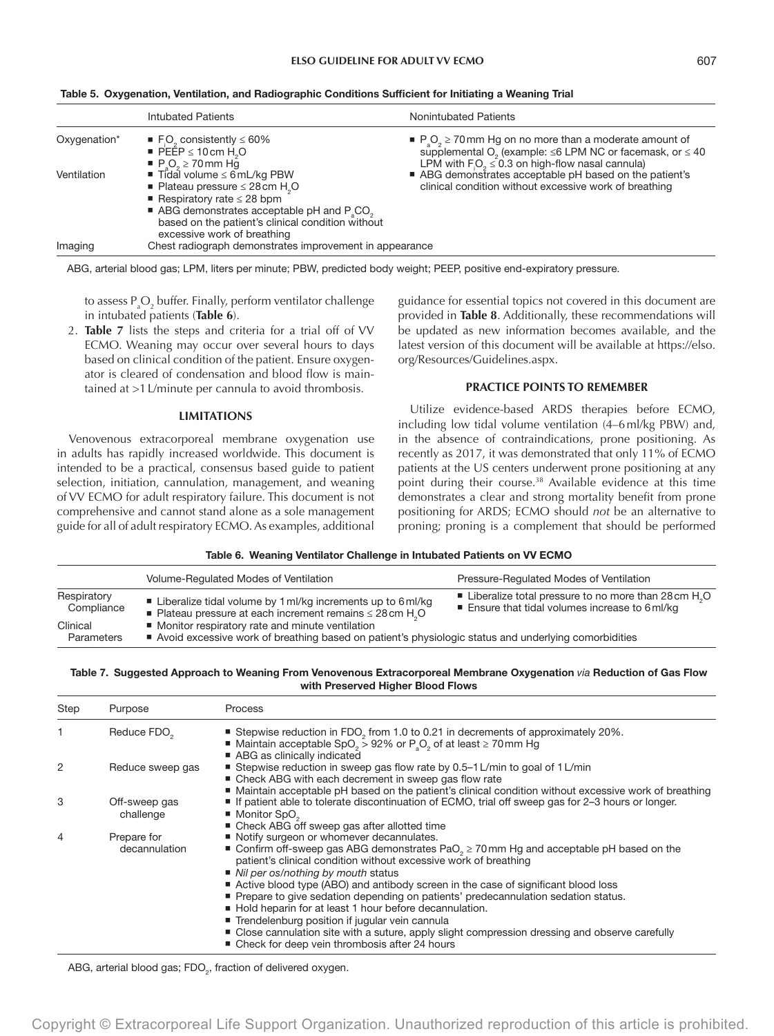|              | <b>Intubated Patients</b>                                                                                                                                                                                                                                 | <b>Nonintubated Patients</b>                                                                                                                                                                                        |
|--------------|-----------------------------------------------------------------------------------------------------------------------------------------------------------------------------------------------------------------------------------------------------------|---------------------------------------------------------------------------------------------------------------------------------------------------------------------------------------------------------------------|
| Oxygenation* | ■ F <sub>i</sub> O <sub>2</sub> consistently $\leq 60\%$<br>PEEP $\leq$ 10 cm H <sub>2</sub> O<br>$P_{\rm s}$ O <sub>2</sub> $\geq$ 70 mm Hg                                                                                                              | $P_{\rm a}O_{\rm b} \ge 70$ mm Hg on no more than a moderate amount of<br>supplemental O <sub>2</sub> (example: $\leq$ 6 LPM NC or facemask, or $\leq$ 40<br>LPM with $F_1O_2 \leq 0.3$ on high-flow nasal cannula) |
| Ventilation  | ■ Tidal volume ≤ 6mL/kg PBW<br>■ Plateau pressure $\leq$ 28 cm H <sub>2</sub> O<br>Respiratory rate $\leq$ 28 bpm<br>ABG demonstrates acceptable pH and $P_{s}CO_{s}$<br>based on the patient's clinical condition without<br>excessive work of breathing | ABG demonstrates acceptable pH based on the patient's<br>clinical condition without excessive work of breathing                                                                                                     |
| Imaging      | Chest radiograph demonstrates improvement in appearance                                                                                                                                                                                                   |                                                                                                                                                                                                                     |

|  |  |  |  | Table 5. Oxygenation, Ventilation, and Radiographic Conditions Sufficient for Initiating a Weaning Trial |  |  |  |
|--|--|--|--|----------------------------------------------------------------------------------------------------------|--|--|--|
|--|--|--|--|----------------------------------------------------------------------------------------------------------|--|--|--|

ABG, arterial blood gas; LPM, liters per minute; PBW, predicted body weight; PEEP, positive end-expiratory pressure.

to assess  $\mathsf{P}_{\mathsf{a}}\mathsf{O}_{\mathsf{2}}$  buffer. Finally, perform ventilator challenge in intubated patients (**Table 6**).

2. **Table 7** lists the steps and criteria for a trial off of VV ECMO. Weaning may occur over several hours to days based on clinical condition of the patient. Ensure oxygenator is cleared of condensation and blood flow is maintained at >1L/minute per cannula to avoid thrombosis.

#### **LIMITATIONS**

Venovenous extracorporeal membrane oxygenation use in adults has rapidly increased worldwide. This document is intended to be a practical, consensus based guide to patient selection, initiation, cannulation, management, and weaning of VV ECMO for adult respiratory failure. This document is not comprehensive and cannot stand alone as a sole management guide for all of adult respiratory ECMO. As examples, additional

guidance for essential topics not covered in this document are provided in **Table 8**. Additionally, these recommendations will be updated as new information becomes available, and the latest version of this document will be available at [https://elso.](https://elso.org/Resources/Guidelines.aspx) [org/Resources/Guidelines.aspx](https://elso.org/Resources/Guidelines.aspx).

## **PRACTICE POINTS TO REMEMBER**

Utilize evidence-based ARDS therapies before ECMO, including low tidal volume ventilation (4–6ml/kg PBW) and, in the absence of contraindications, prone positioning. As recently as 2017, it was demonstrated that only 11% of ECMO patients at the US centers underwent prone positioning at any point during their course.38 Available evidence at this time demonstrates a clear and strong mortality benefit from prone positioning for ARDS; ECMO should *not* be an alternative to proning; proning is a complement that should be performed

Table 6. Weaning Ventilator Challenge in Intubated Patients on VV ECMO

|                           | Volume-Regulated Modes of Ventilation                                                                                                                     | Pressure-Regulated Modes of Ventilation                                                                    |
|---------------------------|-----------------------------------------------------------------------------------------------------------------------------------------------------------|------------------------------------------------------------------------------------------------------------|
| Respiratory<br>Compliance | ■ Liberalize tidal volume by 1 ml/kg increments up to 6 ml/kg<br>■ Plateau pressure at each increment remains $\leq$ 28 cm H <sub>2</sub> O               | ■ Liberalize total pressure to no more than 28 cm $H2O$<br>■ Ensure that tidal volumes increase to 6 ml/kg |
| Clinical<br>Parameters    | ■ Monitor respiratory rate and minute ventilation<br>Avoid excessive work of breathing based on patient's physiologic status and underlying comorbidities |                                                                                                            |

## Table 7. Suggested Approach to Weaning From Venovenous Extracorporeal Membrane Oxygenation *via* Reduction of Gas Flow with Preserved Higher Blood Flows

| Step | Purpose                      | Process                                                                                                                                                                                                                                                                                                                                                                                                                                                                                                                                                                                                                                                                                                          |
|------|------------------------------|------------------------------------------------------------------------------------------------------------------------------------------------------------------------------------------------------------------------------------------------------------------------------------------------------------------------------------------------------------------------------------------------------------------------------------------------------------------------------------------------------------------------------------------------------------------------------------------------------------------------------------------------------------------------------------------------------------------|
|      | Reduce FDO <sub>2</sub>      | ■ Stepwise reduction in FDO, from 1.0 to 0.21 in decrements of approximately 20%.<br>■ Maintain acceptable SpO <sub>2</sub> > 92% or P <sub>3</sub> O <sub>2</sub> of at least $\geq$ 70 mm Hg<br>ABG as clinically indicated                                                                                                                                                                                                                                                                                                                                                                                                                                                                                    |
| 2    | Reduce sweep gas             | Stepwise reduction in sweep gas flow rate by 0.5-1 L/min to goal of 1 L/min<br>■ Check ABG with each decrement in sweep gas flow rate                                                                                                                                                                                                                                                                                                                                                                                                                                                                                                                                                                            |
| 3    | Off-sweep gas<br>challenge   | ■ Maintain acceptable pH based on the patient's clinical condition without excessive work of breathing<br>If patient able to tolerate discontinuation of ECMO, trial off sweep gas for 2-3 hours or longer.<br>$\blacksquare$ Monitor SpO <sub>2</sub><br>■ Check ABG off sweep gas after allotted time                                                                                                                                                                                                                                                                                                                                                                                                          |
| 4    | Prepare for<br>decannulation | Notify surgeon or whomever decannulates.<br>■ Confirm off-sweep gas ABG demonstrates PaO <sub>2</sub> $\geq$ 70 mm Hg and acceptable pH based on the<br>patient's clinical condition without excessive work of breathing<br>■ Nil per os/nothing by mouth status<br>Active blood type (ABO) and antibody screen in the case of significant blood loss<br>■ Prepare to give sedation depending on patients' predecannulation sedation status.<br>Hold heparin for at least 1 hour before decannulation.<br>■ Trendelenburg position if jugular vein cannula<br>• Close cannulation site with a suture, apply slight compression dressing and observe carefully<br>■ Check for deep vein thrombosis after 24 hours |

ABG, arterial blood gas; FDO $_{\textrm{\tiny{2}}}$ , fraction of delivered oxygen.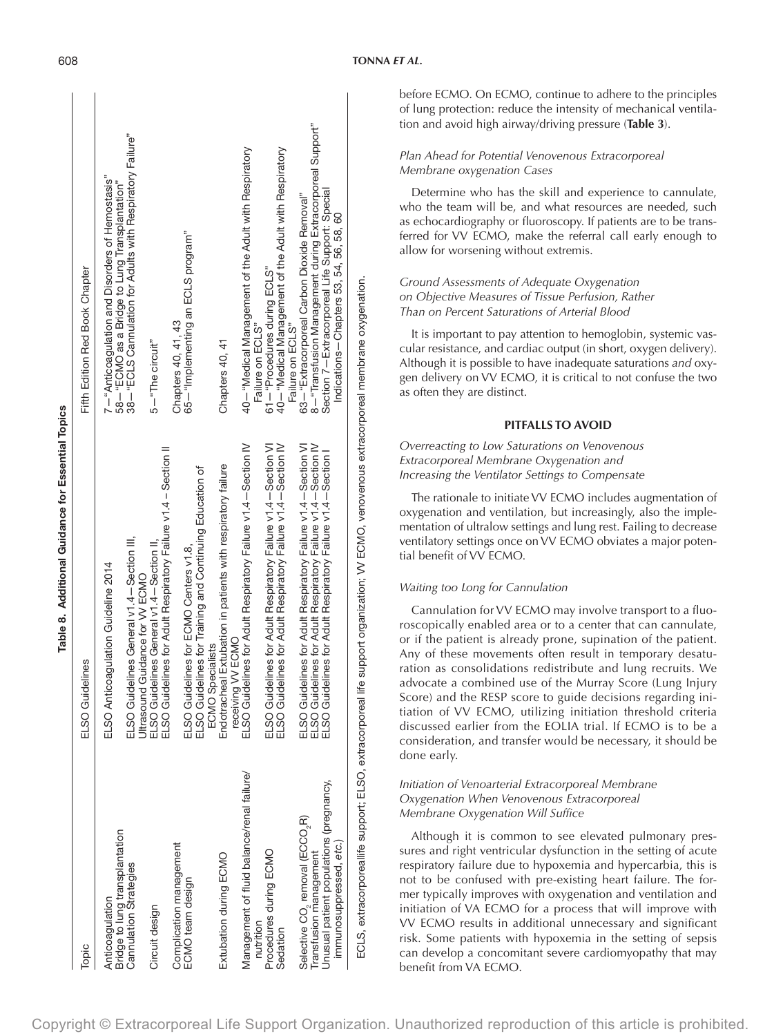|                                                         | Table 8. Additional Guidance for Essential Topics                                                                                                                                                    |                                                                                                     |  |
|---------------------------------------------------------|------------------------------------------------------------------------------------------------------------------------------------------------------------------------------------------------------|-----------------------------------------------------------------------------------------------------|--|
| Topic                                                   | ELSO Guidelines                                                                                                                                                                                      | Fifth Edition Red Book Chapter                                                                      |  |
| Bridge to lung transplantation<br>Anticoagulation       | ELSO Anticoagulation Guideline 2014                                                                                                                                                                  | 7- "Anticoagulation and Disorders of Hemostasis"<br>58 - "ECMO as a Bridge to Lung Transplantation" |  |
| Cannulation Strategies                                  | ELSO Guidelines General v1.4 - Section III,<br>Ultrasound Guidance for VV ECMO                                                                                                                       | 38 - "ECLS Cannulation for Adults with Respiratory Failure"                                         |  |
| Circuit design                                          | ELSO Guidelines General v1.4-Section II,                                                                                                                                                             | 5-"The circuit"                                                                                     |  |
|                                                         | ELSO Guidelines for Adult Respiratory Failure v1.4 - Section II                                                                                                                                      |                                                                                                     |  |
| Complication management                                 |                                                                                                                                                                                                      | Chapters 40, 41, 43                                                                                 |  |
| ECMO team design                                        | ELSO Guidelines for ECMO Centers v1.8,                                                                                                                                                               | 65-"Implementing an ECLS program"                                                                   |  |
|                                                         | ELSO Guidelines for Training and Continuing Education of<br>ECMO Specialists                                                                                                                         |                                                                                                     |  |
| Extubation during ECMO                                  | Endotracheal Extubation in patients with respiratory failure<br>receiving VV ECMO                                                                                                                    | Chapters 40, 41                                                                                     |  |
| Management of fluid balance/renal failure/<br>nutrition | ELSO Guidelines for Adult Respiratory Failure v1.4-Section IV                                                                                                                                        | 40-"Medical Management of the Adult with Respiratory<br>Failure on ECLS"                            |  |
| Procedures during ECMO                                  | ELSO Guidelines for Adult Respiratory Failure v1.4-Section VI                                                                                                                                        | 61-"Procedures during ECLS"                                                                         |  |
| Sedation                                                | ELSO Guidelines for Adult Respiratory Failure v1.4-Section IV                                                                                                                                        | 40-"Medical Management of the Adult with Respiratory<br>Failure on ECLS"                            |  |
| Selective CO <sub>2</sub> removal (ECCO <sub>2</sub> R) | ELSO Guidelines for Adult Respiratory Failure v1.4 – Section VI<br>ELSO Guidelines for Adult Respiratory Failure v1.4 – Section IV<br>ELSO Guidelines for Adult Respiratory Failure v1.4 – Section I | 63-"Extracorporeal Carbon Dioxide Removal"                                                          |  |
| Transfusion management                                  |                                                                                                                                                                                                      | 8-"Transfusion Management during Extracorporeal Support"                                            |  |
| Unusual patient populations (pregnancy,                 |                                                                                                                                                                                                      | Section 7-Extracorporeal Life Support: Special                                                      |  |
| immunosuppressed, etc.                                  |                                                                                                                                                                                                      | Indications-Chapters 53, 54, 56, 58, 60                                                             |  |

# *Plan Ahead for Potential Venovenous Extracorporeal Membrane oxygenation Cases*

Determine who has the skill and experience to cannulate, who the team will be, and what resources are needed, such as echocardiography or fluoroscopy. If patients are to be transferred for VV ECMO, make the referral call early enough to allow for worsening without extremis.

# *Ground Assessments of Adequate Oxygenation on Objective Measures of Tissue Perfusion, Rather Than on Percent Saturations of Arterial Blood*

It is important to pay attention to hemoglobin, systemic vascular resistance, and cardiac output (in short, oxygen delivery). Although it is possible to have inadequate saturations *and* oxygen delivery on VV ECMO, it is critical to not confuse the two as often they are distinct.

# **PITFALLS TO AVOID**

*Overreacting to Low Saturations on Venovenous Extracorporeal Membrane Oxygenation and Increasing the Ventilator Settings to Compensate*

The rationale to initiate VV ECMO includes augmentation of oxygenation and ventilation, but increasingly, also the implementation of ultralow settings and lung rest. Failing to decrease ventilatory settings once on VV ECMO obviates a major potential benefit of VV ECMO.

# *Waiting too Long for Cannulation*

Cannulation for VV ECMO may involve transport to a fluoroscopically enabled area or to a center that can cannulate, or if the patient is already prone, supination of the patient. Any of these movements often result in temporary desaturation as consolidations redistribute and lung recruits. We advocate a combined use of the Murray Score (Lung Injury Score) and the RESP score to guide decisions regarding initiation of VV ECMO, utilizing initiation threshold criteria discussed earlier from the EOLIA trial. If ECMO is to be a consideration, and transfer would be necessary, it should be done early.

# *Initiation of Venoarterial Extracorporeal Membrane Oxygenation When Venovenous Extracorporeal Membrane Oxygenation Will Suffice*

Although it is common to see elevated pulmonary pressures and right ventricular dysfunction in the setting of acute respiratory failure due to hypoxemia and hypercarbia, this is not to be confused with pre-existing heart failure. The former typically improves with oxygenation and ventilation and initiation of VA ECMO for a process that will improve with VV ECMO results in additional unnecessary and significant risk. Some patients with hypoxemia in the setting of sepsis can develop a concomitant severe cardiomyopathy that may benefit from VA ECMO.

ECLS, extracorporeallife support; ELSO, extracorporeal life support organization; VV ECMO, venovenous extracorporeal membrane oxygenation.

ECLS, extracorporeallife support;

ELSO, extracorporeal life support organization; VV ECMO, venovenous extracorporeal membrane oxygenation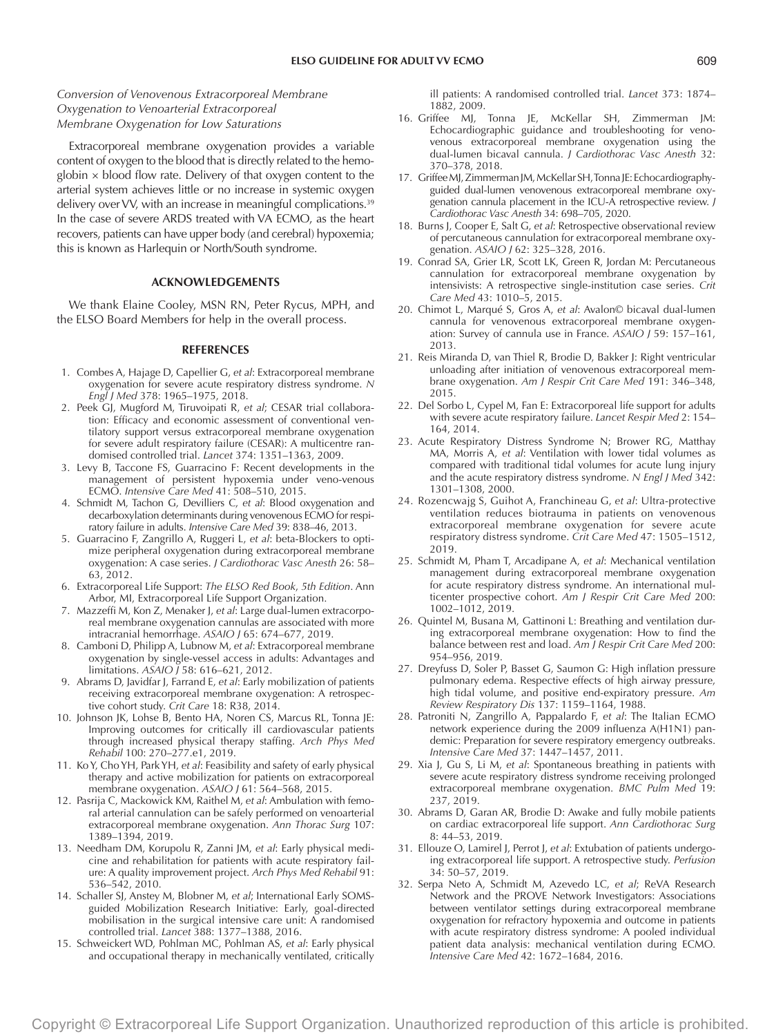# *Conversion of Venovenous Extracorporeal Membrane Oxygenation to Venoarterial Extracorporeal Membrane Oxygenation for Low Saturations*

Extracorporeal membrane oxygenation provides a variable content of oxygen to the blood that is directly related to the hemoglobin  $\times$  blood flow rate. Delivery of that oxygen content to the arterial system achieves little or no increase in systemic oxygen delivery over VV, with an increase in meaningful complications.<sup>39</sup> In the case of severe ARDS treated with VA ECMO, as the heart recovers, patients can have upper body (and cerebral) hypoxemia; this is known as Harlequin or North/South syndrome.

#### **ACKNOWLEDGEMENTS**

We thank Elaine Cooley, MSN RN, Peter Rycus, MPH, and the ELSO Board Members for help in the overall process.

## **REFERENCES**

- 1. Combes A, Hajage D, Capellier G, *et al*: Extracorporeal membrane oxygenation for severe acute respiratory distress syndrome. *N Engl J Med* 378: 1965–1975, 2018.
- 2. Peek GJ, Mugford M, Tiruvoipati R, *et al*; CESAR trial collaboration: Efficacy and economic assessment of conventional ventilatory support versus extracorporeal membrane oxygenation for severe adult respiratory failure (CESAR): A multicentre randomised controlled trial. *Lancet* 374: 1351–1363, 2009.
- 3. Levy B, Taccone FS, Guarracino F: Recent developments in the management of persistent hypoxemia under veno-venous ECMO. *Intensive Care Med* 41: 508–510, 2015.
- 4. Schmidt M, Tachon G, Devilliers C, *et al*: Blood oxygenation and decarboxylation determinants during venovenous ECMO for respiratory failure in adults. *Intensive Care Med* 39: 838–46, 2013.
- 5. Guarracino F, Zangrillo A, Ruggeri L, *et al*: beta-Blockers to optimize peripheral oxygenation during extracorporeal membrane oxygenation: A case series. *J Cardiothorac Vasc Anesth* 26: 58– 63, 2012.
- 6. Extracorporeal Life Support: *The ELSO Red Book*, *5th Edition*. Ann Arbor, MI, Extracorporeal Life Support Organization.
- 7. Mazzeffi M, Kon Z, Menaker J, *et al*: Large dual-lumen extracorporeal membrane oxygenation cannulas are associated with more intracranial hemorrhage. *ASAIO J* 65: 674–677, 2019.
- 8. Camboni D, Philipp A, Lubnow M, *et al*: Extracorporeal membrane oxygenation by single-vessel access in adults: Advantages and limitations. *ASAIO J* 58: 616–621, 2012.
- 9. Abrams D, Javidfar J, Farrand E, *et al*: Early mobilization of patients receiving extracorporeal membrane oxygenation: A retrospective cohort study. *Crit Care* 18: R38, 2014.
- 10. Johnson JK, Lohse B, Bento HA, Noren CS, Marcus RL, Tonna JE: Improving outcomes for critically ill cardiovascular patients through increased physical therapy staffing. *Arch Phys Med Rehabil* 100: 270–277.e1, 2019.
- 11. Ko Y, Cho YH, Park YH, *et al*: Feasibility and safety of early physical therapy and active mobilization for patients on extracorporeal membrane oxygenation. *ASAIO J* 61: 564–568, 2015.
- 12. Pasrija C, Mackowick KM, Raithel M, *et al*: Ambulation with femoral arterial cannulation can be safely performed on venoarterial extracorporeal membrane oxygenation. *Ann Thorac Surg* 107: 1389–1394, 2019.
- 13. Needham DM, Korupolu R, Zanni JM, *et al*: Early physical medicine and rehabilitation for patients with acute respiratory failure: A quality improvement project. *Arch Phys Med Rehabil* 91: 536–542, 2010.
- 14. Schaller SJ, Anstey M, Blobner M, *et al*; International Early SOMSguided Mobilization Research Initiative: Early, goal-directed mobilisation in the surgical intensive care unit: A randomised controlled trial. *Lancet* 388: 1377–1388, 2016.
- 15. Schweickert WD, Pohlman MC, Pohlman AS, *et al*: Early physical and occupational therapy in mechanically ventilated, critically

ill patients: A randomised controlled trial. *Lancet* 373: 1874– 1882, 2009.

- 16. Griffee MJ, Tonna JE, McKellar SH, Zimmerman JM: Echocardiographic guidance and troubleshooting for venovenous extracorporeal membrane oxygenation using the dual-lumen bicaval cannula. *J Cardiothorac Vasc Anesth* 32: 370–378, 2018.
- 17. Griffee MJ, Zimmerman JM, McKellar SH, Tonna JE: Echocardiographyguided dual-lumen venovenous extracorporeal membrane oxygenation cannula placement in the ICU-A retrospective review. *J Cardiothorac Vasc Anesth* 34: 698–705, 2020.
- 18. Burns J, Cooper E, Salt G, *et al*: Retrospective observational review of percutaneous cannulation for extracorporeal membrane oxygenation. *ASAIO J* 62: 325–328, 2016.
- 19. Conrad SA, Grier LR, Scott LK, Green R, Jordan M: Percutaneous cannulation for extracorporeal membrane oxygenation by intensivists: A retrospective single-institution case series. *Crit Care Med* 43: 1010–5, 2015.
- 20. Chimot L, Marqué S, Gros A, *et al*: Avalon© bicaval dual-lumen cannula for venovenous extracorporeal membrane oxygenation: Survey of cannula use in France. *ASAIO J* 59: 157–161, 2013.
- 21. Reis Miranda D, van Thiel R, Brodie D, Bakker J: Right ventricular unloading after initiation of venovenous extracorporeal membrane oxygenation. *Am J Respir Crit Care Med* 191: 346–348, 2015.
- 22. Del Sorbo L, Cypel M, Fan E: Extracorporeal life support for adults with severe acute respiratory failure. *Lancet Respir Med* 2: 154– 164, 2014.
- 23. Acute Respiratory Distress Syndrome N; Brower RG, Matthay MA, Morris A, *et al*: Ventilation with lower tidal volumes as compared with traditional tidal volumes for acute lung injury and the acute respiratory distress syndrome. *N Engl J Med* 342: 1301–1308, 2000.
- 24. Rozencwajg S, Guihot A, Franchineau G, *et al*: Ultra-protective ventilation reduces biotrauma in patients on venovenous extracorporeal membrane oxygenation for severe acute respiratory distress syndrome. *Crit Care Med* 47: 1505–1512, 2019.
- 25. Schmidt M, Pham T, Arcadipane A, *et al*: Mechanical ventilation management during extracorporeal membrane oxygenation for acute respiratory distress syndrome. An international multicenter prospective cohort. *Am J Respir Crit Care Med* 200: 1002–1012, 2019.
- 26. Quintel M, Busana M, Gattinoni L: Breathing and ventilation during extracorporeal membrane oxygenation: How to find the balance between rest and load. *Am J Respir Crit Care Med* 200: 954–956, 2019.
- 27. Dreyfuss D, Soler P, Basset G, Saumon G: High inflation pressure pulmonary edema. Respective effects of high airway pressure, high tidal volume, and positive end-expiratory pressure. *Am Review Respiratory Dis* 137: 1159–1164, 1988.
- 28. Patroniti N, Zangrillo A, Pappalardo F, *et al*: The Italian ECMO network experience during the 2009 influenza A(H1N1) pandemic: Preparation for severe respiratory emergency outbreaks. *Intensive Care Med* 37: 1447–1457, 2011.
- 29. Xia J, Gu S, Li M, *et al*: Spontaneous breathing in patients with severe acute respiratory distress syndrome receiving prolonged extracorporeal membrane oxygenation. *BMC Pulm Med* 19: 237, 2019.
- 30. Abrams D, Garan AR, Brodie D: Awake and fully mobile patients on cardiac extracorporeal life support. *Ann Cardiothorac Surg* 8: 44–53, 2019.
- 31. Ellouze O, Lamirel J, Perrot J, *et al*: Extubation of patients undergoing extracorporeal life support. A retrospective study. *Perfusion* 34: 50–57, 2019.
- 32. Serpa Neto A, Schmidt M, Azevedo LC, *et al*; ReVA Research Network and the PROVE Network Investigators: Associations between ventilator settings during extracorporeal membrane oxygenation for refractory hypoxemia and outcome in patients with acute respiratory distress syndrome: A pooled individual patient data analysis: mechanical ventilation during ECMO. *Intensive Care Med* 42: 1672–1684, 2016.